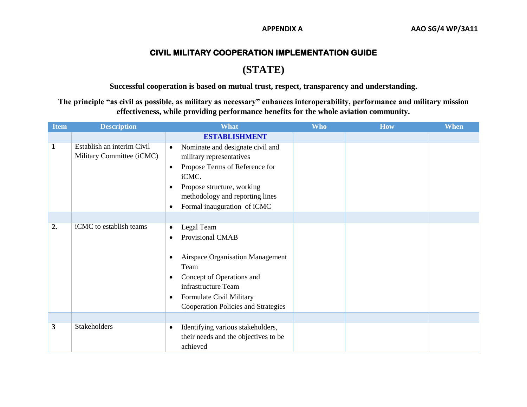## **CIVIL MILITARY COOPERATION IMPLEMENTATION GUIDE**

# **(STATE)**

**Successful cooperation is based on mutual trust, respect, transparency and understanding.**

**The principle "as civil as possible, as military as necessary" enhances interoperability, performance and military mission effectiveness, while providing performance benefits for the whole aviation community.**

| <b>Item</b>  | <b>Description</b>                                      | <b>What</b>                                                                                                                                                                                                                                                                      | <b>Who</b> | <b>How</b> | <b>When</b> |
|--------------|---------------------------------------------------------|----------------------------------------------------------------------------------------------------------------------------------------------------------------------------------------------------------------------------------------------------------------------------------|------------|------------|-------------|
|              |                                                         | <b>ESTABLISHMENT</b>                                                                                                                                                                                                                                                             |            |            |             |
| $\mathbf{1}$ | Establish an interim Civil<br>Military Committee (iCMC) | Nominate and designate civil and<br>$\bullet$<br>military representatives<br>Propose Terms of Reference for<br>$\bullet$<br>iCMC.<br>Propose structure, working<br>$\bullet$<br>methodology and reporting lines<br>Formal inauguration of iCMC<br>$\bullet$                      |            |            |             |
|              |                                                         |                                                                                                                                                                                                                                                                                  |            |            |             |
| 2.           | iCMC to establish teams                                 | Legal Team<br>$\bullet$<br>Provisional CMAB<br>$\bullet$<br><b>Airspace Organisation Management</b><br>$\bullet$<br>Team<br>Concept of Operations and<br>$\bullet$<br>infrastructure Team<br>Formulate Civil Military<br>$\bullet$<br><b>Cooperation Policies and Strategies</b> |            |            |             |
| 3            | Stakeholders                                            | Identifying various stakeholders,<br>$\bullet$<br>their needs and the objectives to be<br>achieved                                                                                                                                                                               |            |            |             |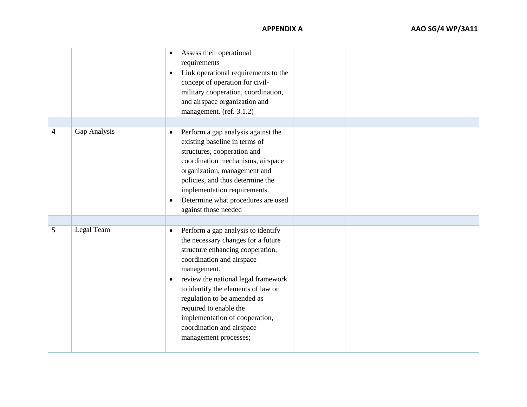**APPENDIX** 

|                  |              | $\bullet$<br>$\bullet$ | Assess their operational<br>requirements<br>Link operational requirements to the<br>concept of operation for civil-<br>military cooperation, coordination,<br>and airspace organization and<br>management. (ref. 3.1.2)                                                                                                                                                                |  |  |
|------------------|--------------|------------------------|----------------------------------------------------------------------------------------------------------------------------------------------------------------------------------------------------------------------------------------------------------------------------------------------------------------------------------------------------------------------------------------|--|--|
| $\boldsymbol{4}$ | Gap Analysis | $\bullet$<br>$\bullet$ | Perform a gap analysis against the<br>existing baseline in terms of<br>structures, cooperation and<br>coordination mechanisms, airspace<br>organization, management and<br>policies, and thus determine the<br>implementation requirements.<br>Determine what procedures are used<br>against those needed                                                                              |  |  |
| 5                | Legal Team   | $\bullet$<br>$\bullet$ | Perform a gap analysis to identify<br>the necessary changes for a future<br>structure enhancing cooperation,<br>coordination and airspace<br>management.<br>review the national legal framework<br>to identify the elements of law or<br>regulation to be amended as<br>required to enable the<br>implementation of cooperation,<br>coordination and airspace<br>management processes; |  |  |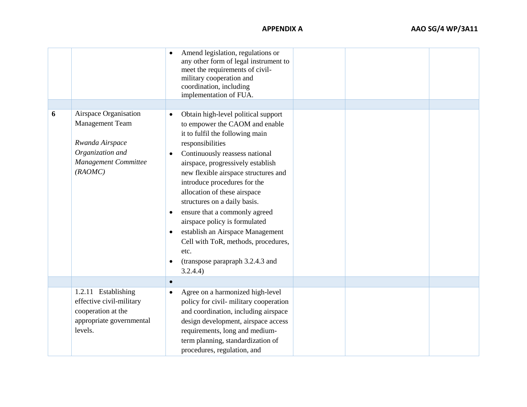**APPENDIX** 

|   |                                                                                                                           | Amend legislation, regulations or<br>any other form of legal instrument to<br>meet the requirements of civil-<br>military cooperation and<br>coordination, including<br>implementation of FUA.                                                                                                                                                                                                                                                                                                                                                                                                                    |  |
|---|---------------------------------------------------------------------------------------------------------------------------|-------------------------------------------------------------------------------------------------------------------------------------------------------------------------------------------------------------------------------------------------------------------------------------------------------------------------------------------------------------------------------------------------------------------------------------------------------------------------------------------------------------------------------------------------------------------------------------------------------------------|--|
|   |                                                                                                                           |                                                                                                                                                                                                                                                                                                                                                                                                                                                                                                                                                                                                                   |  |
| 6 | Airspace Organisation<br><b>Management Team</b><br>Rwanda Airspace<br>Organization and<br>Management Committee<br>(RAOMC) | Obtain high-level political support<br>$\bullet$<br>to empower the CAOM and enable<br>it to fulfil the following main<br>responsibilities<br>Continuously reassess national<br>$\bullet$<br>airspace, progressively establish<br>new flexible airspace structures and<br>introduce procedures for the<br>allocation of these airspace<br>structures on a daily basis.<br>ensure that a commonly agreed<br>$\bullet$<br>airspace policy is formulated<br>establish an Airspace Management<br>$\bullet$<br>Cell with ToR, methods, procedures,<br>etc.<br>(transpose parapraph 3.2.4.3 and<br>$\bullet$<br>3.2.4.4) |  |
|   |                                                                                                                           | $\bullet$                                                                                                                                                                                                                                                                                                                                                                                                                                                                                                                                                                                                         |  |
|   | 1.2.11 Establishing<br>effective civil-military<br>cooperation at the<br>appropriate governmental<br>levels.              | Agree on a harmonized high-level<br>$\bullet$<br>policy for civil-military cooperation<br>and coordination, including airspace<br>design development, airspace access<br>requirements, long and medium-<br>term planning, standardization of<br>procedures, regulation, and                                                                                                                                                                                                                                                                                                                                       |  |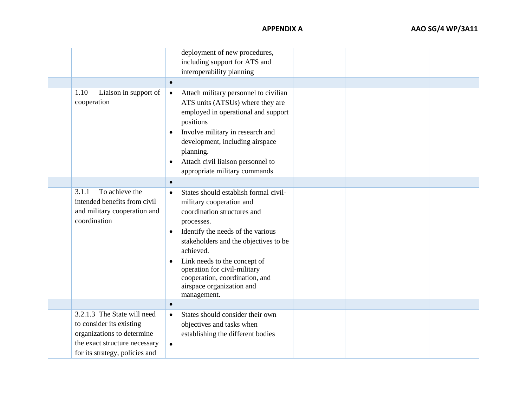| 1.10                                                                                                                                                     | deployment of new procedures,<br>including support for ATS and<br>interoperability planning<br>$\bullet$                                                                                                                                                                                                                                                                                       |  |
|----------------------------------------------------------------------------------------------------------------------------------------------------------|------------------------------------------------------------------------------------------------------------------------------------------------------------------------------------------------------------------------------------------------------------------------------------------------------------------------------------------------------------------------------------------------|--|
| Liaison in support of<br>cooperation                                                                                                                     | Attach military personnel to civilian<br>$\bullet$<br>ATS units (ATSUs) where they are<br>employed in operational and support<br>positions<br>Involve military in research and<br>$\bullet$<br>development, including airspace<br>planning.<br>Attach civil liaison personnel to<br>$\bullet$<br>appropriate military commands                                                                 |  |
|                                                                                                                                                          | $\bullet$                                                                                                                                                                                                                                                                                                                                                                                      |  |
| To achieve the<br>3.1.1<br>intended benefits from civil<br>and military cooperation and<br>coordination                                                  | States should establish formal civil-<br>$\bullet$<br>military cooperation and<br>coordination structures and<br>processes.<br>Identify the needs of the various<br>$\bullet$<br>stakeholders and the objectives to be<br>achieved.<br>Link needs to the concept of<br>$\bullet$<br>operation for civil-military<br>cooperation, coordination, and<br>airspace organization and<br>management. |  |
|                                                                                                                                                          | $\bullet$                                                                                                                                                                                                                                                                                                                                                                                      |  |
| 3.2.1.3 The State will need<br>to consider its existing<br>organizations to determine<br>the exact structure necessary<br>for its strategy, policies and | States should consider their own<br>$\bullet$<br>objectives and tasks when<br>establishing the different bodies<br>$\bullet$                                                                                                                                                                                                                                                                   |  |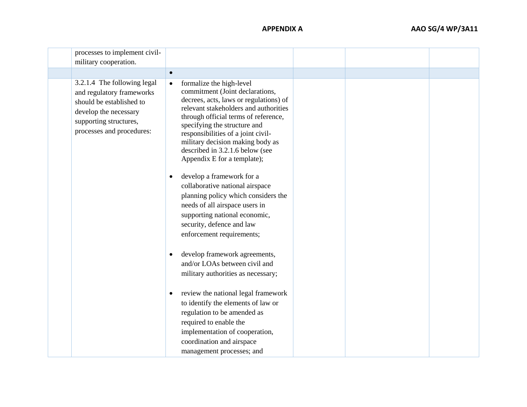| processes to implement civil-<br>military cooperation.                                                                                                               |                                                                                                                                                                                                                                                                                                                                                                                 |  |  |
|----------------------------------------------------------------------------------------------------------------------------------------------------------------------|---------------------------------------------------------------------------------------------------------------------------------------------------------------------------------------------------------------------------------------------------------------------------------------------------------------------------------------------------------------------------------|--|--|
|                                                                                                                                                                      |                                                                                                                                                                                                                                                                                                                                                                                 |  |  |
|                                                                                                                                                                      |                                                                                                                                                                                                                                                                                                                                                                                 |  |  |
| 3.2.1.4 The following legal<br>and regulatory frameworks<br>should be established to<br>develop the necessary<br>supporting structures,<br>processes and procedures: | formalize the high-level<br>$\bullet$<br>commitment (Joint declarations,<br>decrees, acts, laws or regulations) of<br>relevant stakeholders and authorities<br>through official terms of reference,<br>specifying the structure and<br>responsibilities of a joint civil-<br>military decision making body as<br>described in 3.2.1.6 below (see<br>Appendix E for a template); |  |  |
|                                                                                                                                                                      | develop a framework for a<br>collaborative national airspace<br>planning policy which considers the<br>needs of all airspace users in<br>supporting national economic,<br>security, defence and law<br>enforcement requirements;                                                                                                                                                |  |  |
|                                                                                                                                                                      | develop framework agreements,<br>$\bullet$<br>and/or LOAs between civil and<br>military authorities as necessary;                                                                                                                                                                                                                                                               |  |  |
|                                                                                                                                                                      | review the national legal framework<br>$\bullet$<br>to identify the elements of law or<br>regulation to be amended as<br>required to enable the<br>implementation of cooperation,<br>coordination and airspace<br>management processes; and                                                                                                                                     |  |  |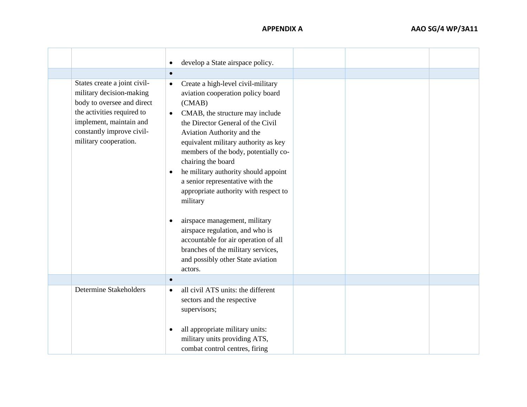|                                                                                                                                                                                                       | develop a State airspace policy.<br>$\bullet$                                                                                                                                                                                                                                                                                                                                                                                                                         |  |
|-------------------------------------------------------------------------------------------------------------------------------------------------------------------------------------------------------|-----------------------------------------------------------------------------------------------------------------------------------------------------------------------------------------------------------------------------------------------------------------------------------------------------------------------------------------------------------------------------------------------------------------------------------------------------------------------|--|
|                                                                                                                                                                                                       | $\bullet$                                                                                                                                                                                                                                                                                                                                                                                                                                                             |  |
| States create a joint civil-<br>military decision-making<br>body to oversee and direct<br>the activities required to<br>implement, maintain and<br>constantly improve civil-<br>military cooperation. | Create a high-level civil-military<br>$\bullet$<br>aviation cooperation policy board<br>(CMAB)<br>CMAB, the structure may include<br>$\bullet$<br>the Director General of the Civil<br>Aviation Authority and the<br>equivalent military authority as key<br>members of the body, potentially co-<br>chairing the board<br>he military authority should appoint<br>$\bullet$<br>a senior representative with the<br>appropriate authority with respect to<br>military |  |
|                                                                                                                                                                                                       | airspace management, military<br>$\bullet$<br>airspace regulation, and who is<br>accountable for air operation of all<br>branches of the military services,<br>and possibly other State aviation<br>actors.                                                                                                                                                                                                                                                           |  |
|                                                                                                                                                                                                       | $\bullet$                                                                                                                                                                                                                                                                                                                                                                                                                                                             |  |
| <b>Determine Stakeholders</b>                                                                                                                                                                         | all civil ATS units: the different<br>$\bullet$<br>sectors and the respective<br>supervisors;                                                                                                                                                                                                                                                                                                                                                                         |  |
|                                                                                                                                                                                                       | all appropriate military units:<br>$\bullet$<br>military units providing ATS,<br>combat control centres, firing                                                                                                                                                                                                                                                                                                                                                       |  |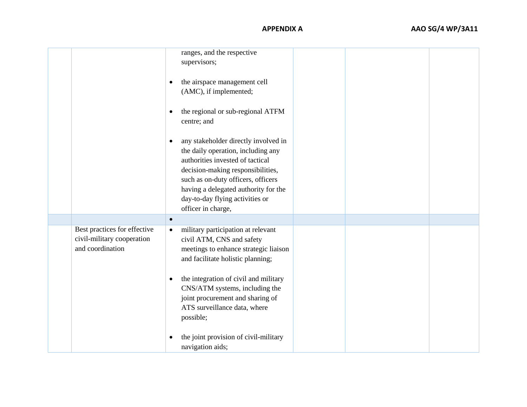### **APPENDIX A AAO SG/4 WP/3A11**

|                                                                                | ranges, and the respective<br>supervisors;<br>the airspace management cell<br>$\bullet$<br>(AMC), if implemented;<br>the regional or sub-regional ATFM<br>$\bullet$<br>centre; and<br>any stakeholder directly involved in<br>$\bullet$<br>the daily operation, including any<br>authorities invested of tactical<br>decision-making responsibilities,<br>such as on-duty officers, officers<br>having a delegated authority for the<br>day-to-day flying activities or<br>officer in charge, |  |
|--------------------------------------------------------------------------------|-----------------------------------------------------------------------------------------------------------------------------------------------------------------------------------------------------------------------------------------------------------------------------------------------------------------------------------------------------------------------------------------------------------------------------------------------------------------------------------------------|--|
|                                                                                | $\bullet$                                                                                                                                                                                                                                                                                                                                                                                                                                                                                     |  |
| Best practices for effective<br>civil-military cooperation<br>and coordination | military participation at relevant<br>$\bullet$<br>civil ATM, CNS and safety<br>meetings to enhance strategic liaison<br>and facilitate holistic planning;<br>the integration of civil and military<br>$\bullet$<br>CNS/ATM systems, including the<br>joint procurement and sharing of<br>ATS surveillance data, where<br>possible;                                                                                                                                                           |  |
|                                                                                | the joint provision of civil-military<br>$\bullet$<br>navigation aids;                                                                                                                                                                                                                                                                                                                                                                                                                        |  |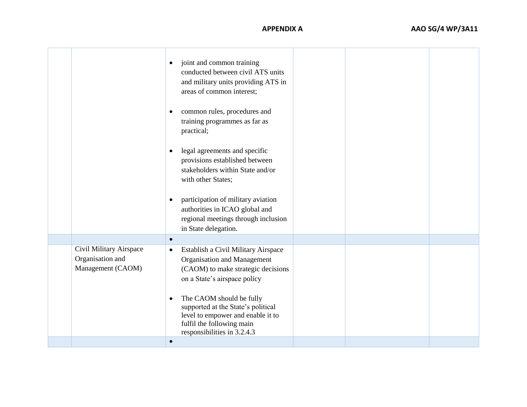|                                                                  | joint and common training<br>$\bullet$<br>conducted between civil ATS units<br>and military units providing ATS in<br>areas of common interest;<br>common rules, procedures and<br>$\bullet$<br>training programmes as far as<br>practical;                               |  |  |
|------------------------------------------------------------------|---------------------------------------------------------------------------------------------------------------------------------------------------------------------------------------------------------------------------------------------------------------------------|--|--|
|                                                                  | legal agreements and specific<br>$\bullet$<br>provisions established between<br>stakeholders within State and/or<br>with other States;                                                                                                                                    |  |  |
|                                                                  | participation of military aviation<br>$\bullet$<br>authorities in ICAO global and<br>regional meetings through inclusion<br>in State delegation.                                                                                                                          |  |  |
|                                                                  | $\bullet$                                                                                                                                                                                                                                                                 |  |  |
| Civil Military Airspace<br>Organisation and<br>Management (CAOM) | Establish a Civil Military Airspace<br>$\bullet$<br>Organisation and Management<br>(CAOM) to make strategic decisions<br>on a State's airspace policy<br>The CAOM should be fully<br>$\bullet$<br>supported at the State's political<br>level to empower and enable it to |  |  |
|                                                                  | fulfil the following main<br>responsibilities in 3.2.4.3                                                                                                                                                                                                                  |  |  |
|                                                                  | $\bullet$                                                                                                                                                                                                                                                                 |  |  |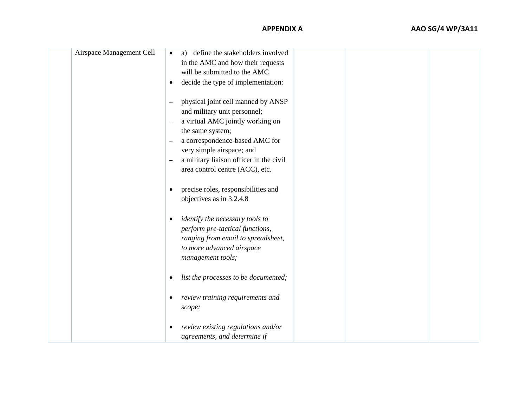| Airspace Management Cell | a) define the stakeholders involved<br>$\bullet$<br>in the AMC and how their requests                                                              |
|--------------------------|----------------------------------------------------------------------------------------------------------------------------------------------------|
|                          | will be submitted to the AMC                                                                                                                       |
|                          |                                                                                                                                                    |
|                          | decide the type of implementation:<br>$\bullet$                                                                                                    |
|                          | physical joint cell manned by ANSP<br>$\overline{\phantom{0}}$<br>and military unit personnel;                                                     |
|                          | a virtual AMC jointly working on<br>$\overline{\phantom{0}}$                                                                                       |
|                          | the same system;                                                                                                                                   |
|                          | a correspondence-based AMC for<br>$\qquad \qquad -$                                                                                                |
|                          | very simple airspace; and                                                                                                                          |
|                          | a military liaison officer in the civil                                                                                                            |
|                          | area control centre (ACC), etc.                                                                                                                    |
|                          | precise roles, responsibilities and<br>$\bullet$<br>objectives as in 3.2.4.8                                                                       |
|                          | identify the necessary tools to<br>$\bullet$<br>perform pre-tactical functions,<br>ranging from email to spreadsheet,<br>to more advanced airspace |
|                          | management tools;                                                                                                                                  |
|                          |                                                                                                                                                    |
|                          | list the processes to be documented;<br>٠                                                                                                          |
|                          | review training requirements and<br>$\bullet$<br>scope;                                                                                            |
|                          | review existing regulations and/or<br>$\bullet$<br>agreements, and determine if                                                                    |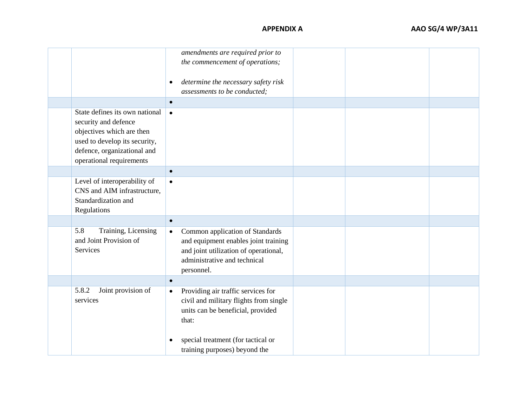|                                                                                                                                                                                 | amendments are required prior to<br>the commencement of operations;                                                                                                         |  |  |
|---------------------------------------------------------------------------------------------------------------------------------------------------------------------------------|-----------------------------------------------------------------------------------------------------------------------------------------------------------------------------|--|--|
|                                                                                                                                                                                 | determine the necessary safety risk<br>$\bullet$<br>assessments to be conducted;                                                                                            |  |  |
|                                                                                                                                                                                 | $\bullet$                                                                                                                                                                   |  |  |
| State defines its own national<br>security and defence<br>objectives which are then<br>used to develop its security,<br>defence, organizational and<br>operational requirements | $\bullet$                                                                                                                                                                   |  |  |
|                                                                                                                                                                                 | $\bullet$                                                                                                                                                                   |  |  |
| Level of interoperability of<br>CNS and AIM infrastructure,<br>Standardization and<br>Regulations                                                                               | $\bullet$                                                                                                                                                                   |  |  |
|                                                                                                                                                                                 | $\bullet$                                                                                                                                                                   |  |  |
| 5.8<br>Training, Licensing<br>and Joint Provision of<br>Services                                                                                                                | Common application of Standards<br>$\bullet$<br>and equipment enables joint training<br>and joint utilization of operational,<br>administrative and technical<br>personnel. |  |  |
|                                                                                                                                                                                 | $\bullet$                                                                                                                                                                   |  |  |
| 5.8.2<br>Joint provision of<br>services                                                                                                                                         | Providing air traffic services for<br>$\bullet$<br>civil and military flights from single<br>units can be beneficial, provided<br>that:                                     |  |  |
|                                                                                                                                                                                 | special treatment (for tactical or<br>$\bullet$<br>training purposes) beyond the                                                                                            |  |  |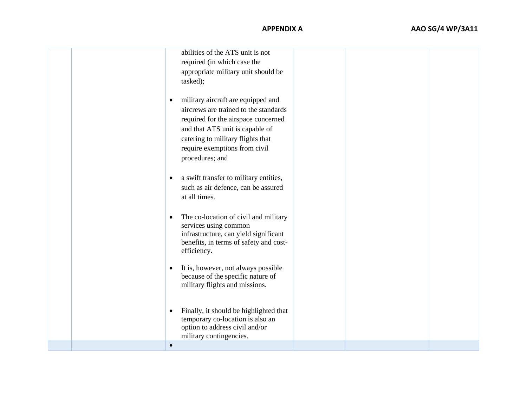|  | abilities of the ATS unit is not<br>required (in which case the<br>appropriate military unit should be<br>tasked);                                                                                                                                          |  |  |
|--|-------------------------------------------------------------------------------------------------------------------------------------------------------------------------------------------------------------------------------------------------------------|--|--|
|  | military aircraft are equipped and<br>$\bullet$<br>aircrews are trained to the standards<br>required for the airspace concerned<br>and that ATS unit is capable of<br>catering to military flights that<br>require exemptions from civil<br>procedures; and |  |  |
|  | a swift transfer to military entities,<br>$\bullet$<br>such as air defence, can be assured<br>at all times.                                                                                                                                                 |  |  |
|  | The co-location of civil and military<br>$\bullet$<br>services using common<br>infrastructure, can yield significant<br>benefits, in terms of safety and cost-<br>efficiency.                                                                               |  |  |
|  | It is, however, not always possible<br>$\bullet$<br>because of the specific nature of<br>military flights and missions.                                                                                                                                     |  |  |
|  | Finally, it should be highlighted that<br>$\bullet$<br>temporary co-location is also an<br>option to address civil and/or<br>military contingencies.                                                                                                        |  |  |
|  | $\bullet$                                                                                                                                                                                                                                                   |  |  |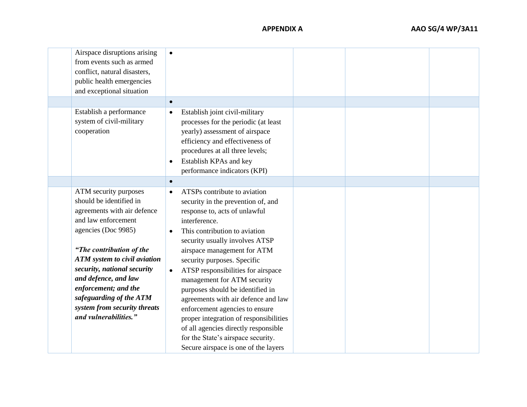| Airspace disruptions arising<br>from events such as armed<br>conflict, natural disasters,<br>public health emergencies<br>and exceptional situation                                                                                                                                                                                                                 | $\bullet$<br>$\bullet$                                                                                                                                                                                                                                                                                                                                                                                                                                                                                                                                                                                                                         |  |  |
|---------------------------------------------------------------------------------------------------------------------------------------------------------------------------------------------------------------------------------------------------------------------------------------------------------------------------------------------------------------------|------------------------------------------------------------------------------------------------------------------------------------------------------------------------------------------------------------------------------------------------------------------------------------------------------------------------------------------------------------------------------------------------------------------------------------------------------------------------------------------------------------------------------------------------------------------------------------------------------------------------------------------------|--|--|
| Establish a performance<br>system of civil-military<br>cooperation                                                                                                                                                                                                                                                                                                  | Establish joint civil-military<br>$\bullet$<br>processes for the periodic (at least<br>yearly) assessment of airspace<br>efficiency and effectiveness of<br>procedures at all three levels;<br>Establish KPAs and key<br>$\bullet$<br>performance indicators (KPI)                                                                                                                                                                                                                                                                                                                                                                             |  |  |
| ATM security purposes<br>should be identified in<br>agreements with air defence<br>and law enforcement<br>agencies (Doc 9985)<br>"The contribution of the<br><b>ATM</b> system to civil aviation<br>security, national security<br>and defence, and law<br>enforcement; and the<br>safeguarding of the ATM<br>system from security threats<br>and vulnerabilities." | $\bullet$<br>ATSPs contribute to aviation<br>$\bullet$<br>security in the prevention of, and<br>response to, acts of unlawful<br>interference.<br>This contribution to aviation<br>security usually involves ATSP<br>airspace management for ATM<br>security purposes. Specific<br>ATSP responsibilities for airspace<br>$\bullet$<br>management for ATM security<br>purposes should be identified in<br>agreements with air defence and law<br>enforcement agencies to ensure<br>proper integration of responsibilities<br>of all agencies directly responsible<br>for the State's airspace security.<br>Secure airspace is one of the layers |  |  |